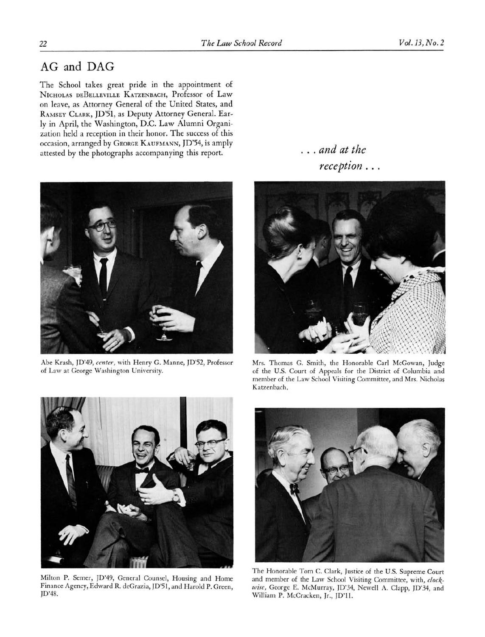## AG and DAG

The School takes great pride in the appointment of NICHOLAS DEBELLEVILLE KATZENBACH, Professor of Law on leave, as Attorney General of the United States, and RAMSEY CLARK, JD'Sl, as Deputy Attorney General. Early in April, the Washington, D.C. Law Alumni Organization held a reception in their honor. The success of this occasion, arranged by GEORGE KAUFMANN, JD'S4, is amply attested by the photographs accompanying this report.



Abe Krash, JD'49, center, with Henry G. Manne, JD'S2, Professor of Law at George Washington University.

... and at the reception.



Mrs. Thomas G. Smith, the Honorable Carl McGowan, Judge of the U.S. Court of Appeals for the District of Columbia and member of the Law School Visiting Committee, and Mrs. Nicholas Katzenbach,



Milton P. Semer, JD'49, General Counsel, Housing and Home Finance Agency, Edward R. deGrazia, JD'Sl, and Harold P. Green, JD'48.



The Honorable Tom C. Clark, Justice of the U.S. Supreme Court and member of the Law School Visiting Committee, with, clockwise, George E. McMurray, JD'34, Newell A. Clapp, JD'34, and William P. McCracken, Jr., JD'll.